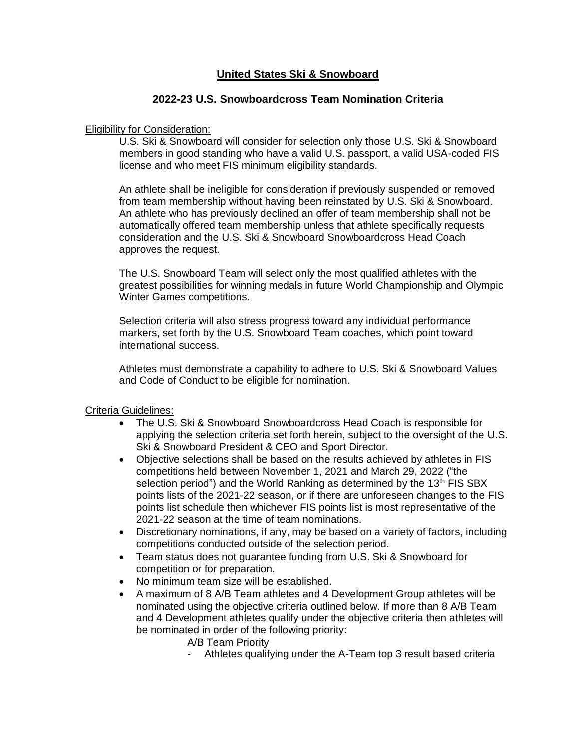## **United States Ski & Snowboard**

### **2022-23 U.S. Snowboardcross Team Nomination Criteria**

#### Eligibility for Consideration:

U.S. Ski & Snowboard will consider for selection only those U.S. Ski & Snowboard members in good standing who have a valid U.S. passport, a valid USA-coded FIS license and who meet FIS minimum eligibility standards.

An athlete shall be ineligible for consideration if previously suspended or removed from team membership without having been reinstated by U.S. Ski & Snowboard. An athlete who has previously declined an offer of team membership shall not be automatically offered team membership unless that athlete specifically requests consideration and the U.S. Ski & Snowboard Snowboardcross Head Coach approves the request.

The U.S. Snowboard Team will select only the most qualified athletes with the greatest possibilities for winning medals in future World Championship and Olympic Winter Games competitions.

Selection criteria will also stress progress toward any individual performance markers, set forth by the U.S. Snowboard Team coaches, which point toward international success.

Athletes must demonstrate a capability to adhere to U.S. Ski & Snowboard Values and Code of Conduct to be eligible for nomination.

#### Criteria Guidelines:

- The U.S. Ski & Snowboard Snowboardcross Head Coach is responsible for applying the selection criteria set forth herein, subject to the oversight of the U.S. Ski & Snowboard President & CEO and Sport Director.
- Objective selections shall be based on the results achieved by athletes in FIS competitions held between November 1, 2021 and March 29, 2022 ("the selection period") and the World Ranking as determined by the 13<sup>th</sup> FIS SBX points lists of the 2021-22 season, or if there are unforeseen changes to the FIS points list schedule then whichever FIS points list is most representative of the 2021-22 season at the time of team nominations.
- Discretionary nominations, if any, may be based on a variety of factors, including competitions conducted outside of the selection period.
- Team status does not guarantee funding from U.S. Ski & Snowboard for competition or for preparation.
- No minimum team size will be established.
- A maximum of 8 A/B Team athletes and 4 Development Group athletes will be nominated using the objective criteria outlined below. If more than 8 A/B Team and 4 Development athletes qualify under the objective criteria then athletes will be nominated in order of the following priority:

A/B Team Priority

- Athletes qualifying under the A-Team top 3 result based criteria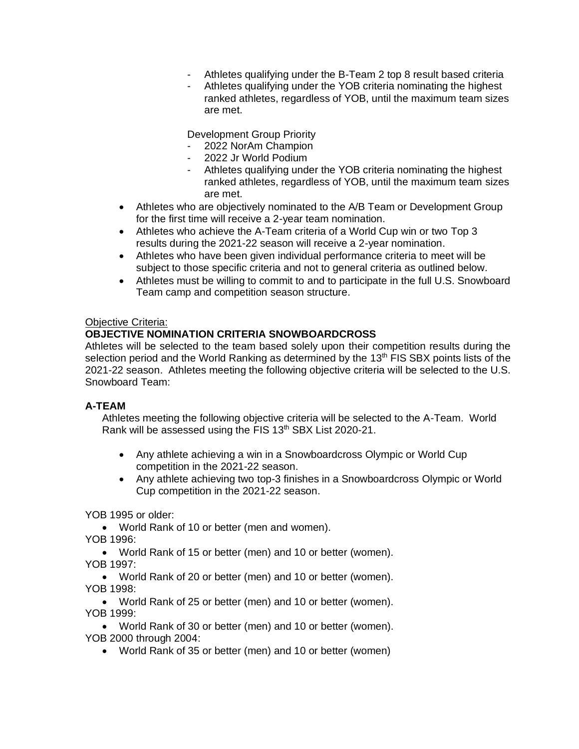- Athletes qualifying under the B-Team 2 top 8 result based criteria
- Athletes qualifying under the YOB criteria nominating the highest ranked athletes, regardless of YOB, until the maximum team sizes are met.

Development Group Priority

- 2022 NorAm Champion
- 2022 Jr World Podium
- Athletes qualifying under the YOB criteria nominating the highest ranked athletes, regardless of YOB, until the maximum team sizes are met.
- Athletes who are objectively nominated to the A/B Team or Development Group for the first time will receive a 2-year team nomination.
- Athletes who achieve the A-Team criteria of a World Cup win or two Top 3 results during the 2021-22 season will receive a 2-year nomination.
- Athletes who have been given individual performance criteria to meet will be subject to those specific criteria and not to general criteria as outlined below.
- Athletes must be willing to commit to and to participate in the full U.S. Snowboard Team camp and competition season structure.

#### Objective Criteria:

## **OBJECTIVE NOMINATION CRITERIA SNOWBOARDCROSS**

Athletes will be selected to the team based solely upon their competition results during the selection period and the World Ranking as determined by the 13<sup>th</sup> FIS SBX points lists of the 2021-22 season. Athletes meeting the following objective criteria will be selected to the U.S. Snowboard Team:

### **A-TEAM**

Athletes meeting the following objective criteria will be selected to the A-Team. World Rank will be assessed using the FIS 13<sup>th</sup> SBX List 2020-21.

- Any athlete achieving a win in a Snowboardcross Olympic or World Cup competition in the 2021-22 season.
- Any athlete achieving two top-3 finishes in a Snowboardcross Olympic or World Cup competition in the 2021-22 season.

YOB 1995 or older:

• World Rank of 10 or better (men and women).

YOB 1996:

- World Rank of 15 or better (men) and 10 or better (women). YOB 1997:
- World Rank of 20 or better (men) and 10 or better (women). YOB 1998:
- World Rank of 25 or better (men) and 10 or better (women). YOB 1999:
- World Rank of 30 or better (men) and 10 or better (women). YOB 2000 through 2004:
	- World Rank of 35 or better (men) and 10 or better (women)